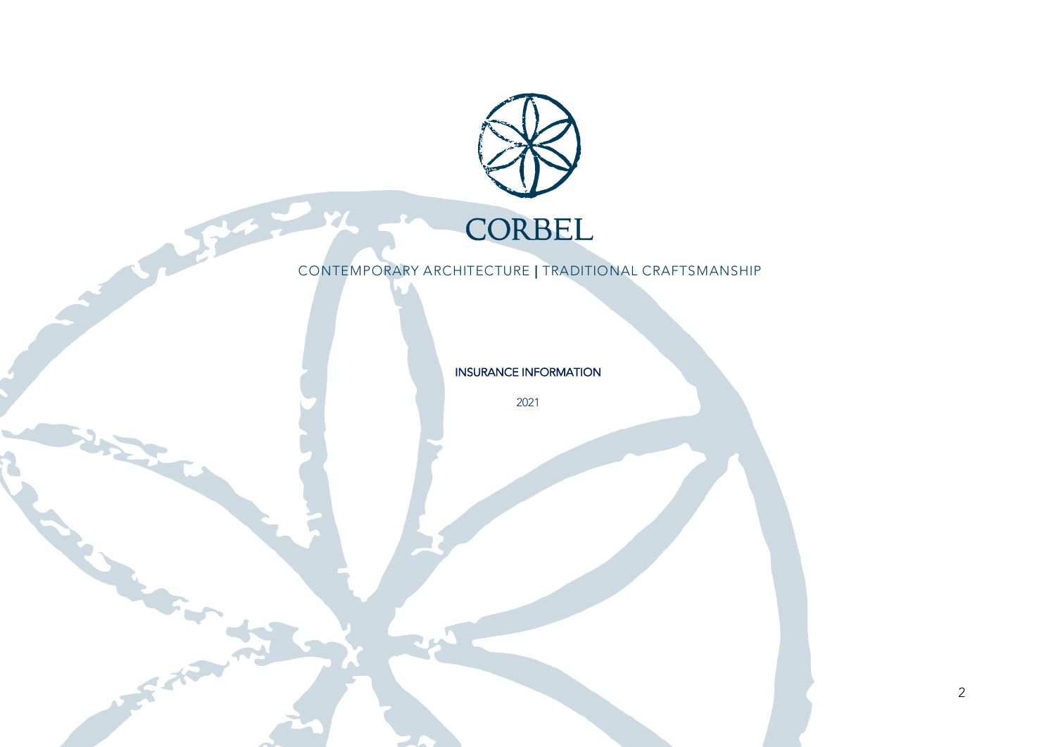

2